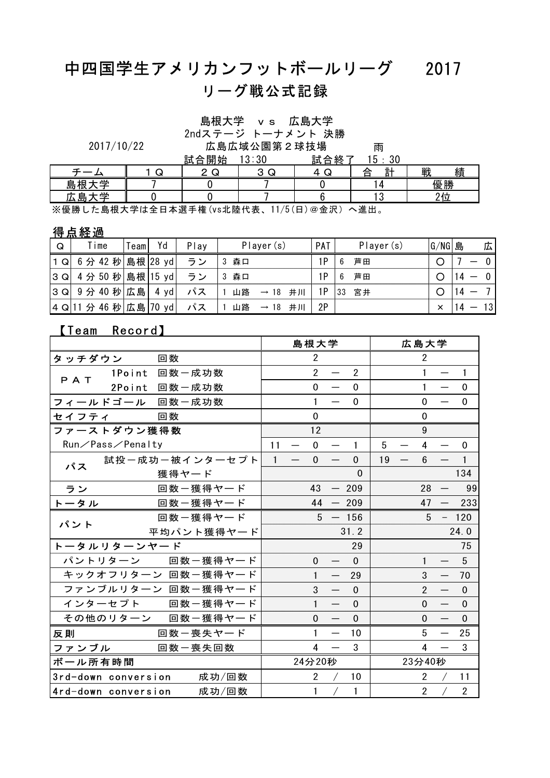## 中四国学生アメリカンフットボールリーグ 2017 リーグ戦公式記録

島根大学 vs 広島大学

2ndステージ トーナメント 決勝

技場 雨<br> 試会終了 15.20 試合開始 13:30 試合終了 15:30 2017/10/22 広島広域公園第2球技場

|              |   | ᇌ<br>,合用始  | - 31<br>ບ ≀ ບ∪  | 試合於                    | к.<br>יי<br>$\mathbf{r}$<br>υU |        |
|--------------|---|------------|-----------------|------------------------|--------------------------------|--------|
|              | ى | $\sqrt{2}$ | $\sqrt{2}$<br>ى | ▃<br>v                 | $\equiv$ +<br>合                | 戦<br>績 |
| 一<br>拫<br>島  |   |            |                 |                        |                                | 優勝     |
| 一<br>島<br>حە |   |            |                 |                        |                                | つよ     |
| マノ 眉 叫<br>┻  |   |            |                 | 11 / F / m \ ∞ A : n \ | $\sqrt{H}$ 11                  |        |

※優勝した島根大学は全日本選手権(vs北陸代表、11/5(日)@金沢)へ進出。

## 得点経過

| Q                | <sup>T</sup> ime    | eam | Yd   | Play | Player(s)                    | PAT | Player (s) | G/NG 島 | 広               |
|------------------|---------------------|-----|------|------|------------------------------|-----|------------|--------|-----------------|
| 1 Q              | 6 分 42 秒 島根 28 yd   |     |      | ラン   | 森口                           | 1P  | 芦田<br>6    |        |                 |
| $ 3 \text{ } Q $ | 4 分 50 秒 島根   15 yd |     |      | ラン   | 森口                           | 1P  | 芦田<br>-6   |        |                 |
| $ 3 \text{ } Q $ | 9分 40 秒 広島          |     | 4 yd |      | 山路<br>井川<br>$\rightarrow$ 18 | 1P  | 宮井<br>33   |        |                 |
| 4Q               | 46 秒 広島 70<br>分     |     | yd   |      | 山路<br>井川<br>18               | 2P  |            | ×      | 13 <sup>1</sup> |

## 【Team Record】

|         |                     |       |                           |              |                          | 島根大学                    |                          |                |    |                          | 広島大学           |                   |                |
|---------|---------------------|-------|---------------------------|--------------|--------------------------|-------------------------|--------------------------|----------------|----|--------------------------|----------------|-------------------|----------------|
| タッチダウン  |                     | 回数    |                           |              |                          | $\overline{2}$          |                          |                |    |                          | $\overline{2}$ |                   |                |
| PAT     | 1Point 回数一成功数       |       |                           |              |                          | $\overline{2}$          |                          | $\overline{2}$ |    |                          | $\mathbf{1}$   |                   | $\mathbf{1}$   |
|         | 2Point 回数一成功数       |       |                           |              |                          | $\mathbf 0$             | $\qquad \qquad$          | $\Omega$       |    |                          |                |                   | $\Omega$       |
|         | フィールドゴール 回数一成功数     |       |                           |              |                          | $\mathbf{1}$            | $\overline{\phantom{0}}$ | $\Omega$       |    |                          | $\Omega$       |                   | 0              |
| セイフティ   |                     | 回数    |                           |              |                          | 0                       |                          |                |    |                          | 0              |                   |                |
|         | ファーストダウン獲得数         |       |                           |              |                          | 12                      |                          |                |    |                          | 9              |                   |                |
|         | Run/Pass/Penalty    |       |                           | 11           | $\overline{\phantom{0}}$ | $\mathbf 0$             |                          | 1              | 5  |                          | 4              |                   | $\Omega$       |
| パス      |                     |       | 試投ー成功ー被インターセプト            | $\mathbf{1}$ | $\overline{\phantom{0}}$ | $\mathbf 0$             |                          | $\Omega$       | 19 | $\overline{\phantom{m}}$ | 6              |                   |                |
|         |                     | 獲得ヤード |                           |              |                          |                         |                          | $\Omega$       |    |                          |                |                   | 134            |
| ラン      |                     |       | 回数ー獲得ヤード                  |              |                          | 43                      |                          | $-209$         |    |                          | 28             |                   | 99             |
| トータル    |                     |       | 回数ー獲得ヤード                  |              |                          | 44                      |                          | $-209$         |    |                          | 47             | $\qquad \qquad -$ | 233            |
| パント     |                     |       | 回数ー獲得ヤード                  |              |                          |                         | $5 - 156$                |                |    |                          | 5              |                   | $-120$         |
|         |                     |       | 平均パント獲得ヤード                |              |                          |                         |                          | 31.2           |    |                          |                |                   | 24.0           |
|         | トータルリターンヤード         |       |                           |              |                          |                         |                          | 29             |    |                          |                |                   | 75             |
|         |                     |       | パントリターン 回数一獲得ヤード          |              |                          | $\mathbf 0$             |                          | $\Omega$       |    |                          | $\mathbf{1}$   |                   | 5              |
|         |                     |       | キックオフリターン 回数一獲得ヤード        |              |                          | $\mathbf{1}$            | $\qquad \qquad$          | 29             |    |                          | 3              |                   | 70             |
|         |                     |       | ファンブルリターン 回数一獲得ヤード        |              |                          | 3                       | $\overline{\phantom{0}}$ | $\Omega$       |    |                          | $\overline{2}$ |                   | $\Omega$       |
|         |                     |       | インターセプト 回数一獲得ヤード          |              |                          | $\mathbf{1}$            |                          | $\Omega$       |    |                          | $\Omega$       |                   | $\mathbf 0$    |
|         |                     |       | その他のリターン 回数一獲得ヤード         |              |                          | $\mathbf 0$             |                          | $\Omega$       |    |                          | $\Omega$       |                   | $\mathbf 0$    |
| 反則      |                     |       | 回数一喪失ヤード                  |              |                          | $\mathbf{1}$            | $\overline{\phantom{m}}$ | 10             |    |                          | 5              |                   | 25             |
| ファンブル   |                     |       | 回数一喪失回数                   |              |                          | $\overline{\mathbf{4}}$ |                          | 3              |    |                          | 4              |                   | 3              |
| ボール所有時間 |                     |       |                           |              |                          | 24分20秒                  |                          |                |    |                          | 23分40秒         |                   |                |
|         |                     |       | 3rd-down conversion 成功/回数 |              |                          | $\overline{2}$          |                          | 10             |    |                          | $\overline{2}$ |                   | 11             |
|         | 4rd-down conversion |       | 成功/回数                     |              |                          | 1                       |                          | 1              |    |                          | $\overline{2}$ |                   | $\overline{2}$ |